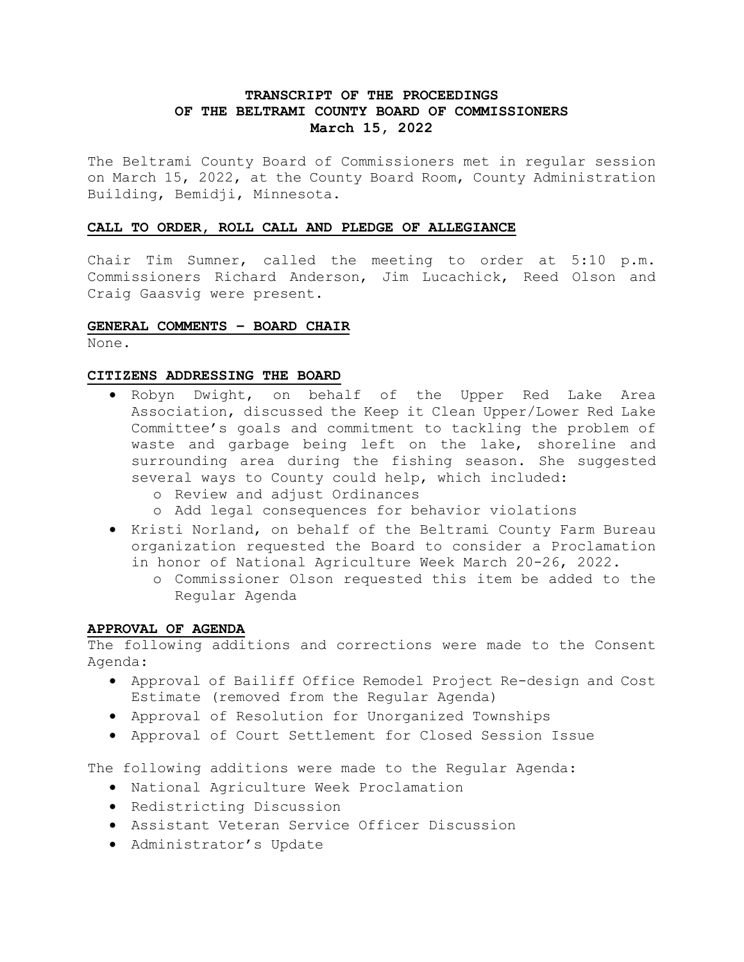# **TRANSCRIPT OF THE PROCEEDINGS OF THE BELTRAMI COUNTY BOARD OF COMMISSIONERS March 15, 2022**

The Beltrami County Board of Commissioners met in regular session on March 15, 2022, at the County Board Room, County Administration Building, Bemidji, Minnesota.

# **CALL TO ORDER, ROLL CALL AND PLEDGE OF ALLEGIANCE**

Chair Tim Sumner, called the meeting to order at 5:10 p.m. Commissioners Richard Anderson, Jim Lucachick, Reed Olson and Craig Gaasvig were present.

# **GENERAL COMMENTS – BOARD CHAIR**

None.

# **CITIZENS ADDRESSING THE BOARD**

- Robyn Dwight, on behalf of the Upper Red Lake Area Association, discussed the Keep it Clean Upper/Lower Red Lake Committee's goals and commitment to tackling the problem of waste and garbage being left on the lake, shoreline and surrounding area during the fishing season. She suggested several ways to County could help, which included:
	- o Review and adjust Ordinances
	- o Add legal consequences for behavior violations
- Kristi Norland, on behalf of the Beltrami County Farm Bureau organization requested the Board to consider a Proclamation in honor of National Agriculture Week March 20-26, 2022.
	- o Commissioner Olson requested this item be added to the Regular Agenda

# **APPROVAL OF AGENDA**

The following additions and corrections were made to the Consent Agenda:

- Approval of Bailiff Office Remodel Project Re-design and Cost Estimate (removed from the Regular Agenda)
- Approval of Resolution for Unorganized Townships
- Approval of Court Settlement for Closed Session Issue

The following additions were made to the Regular Agenda:

- National Agriculture Week Proclamation
- Redistricting Discussion
- Assistant Veteran Service Officer Discussion
- Administrator's Update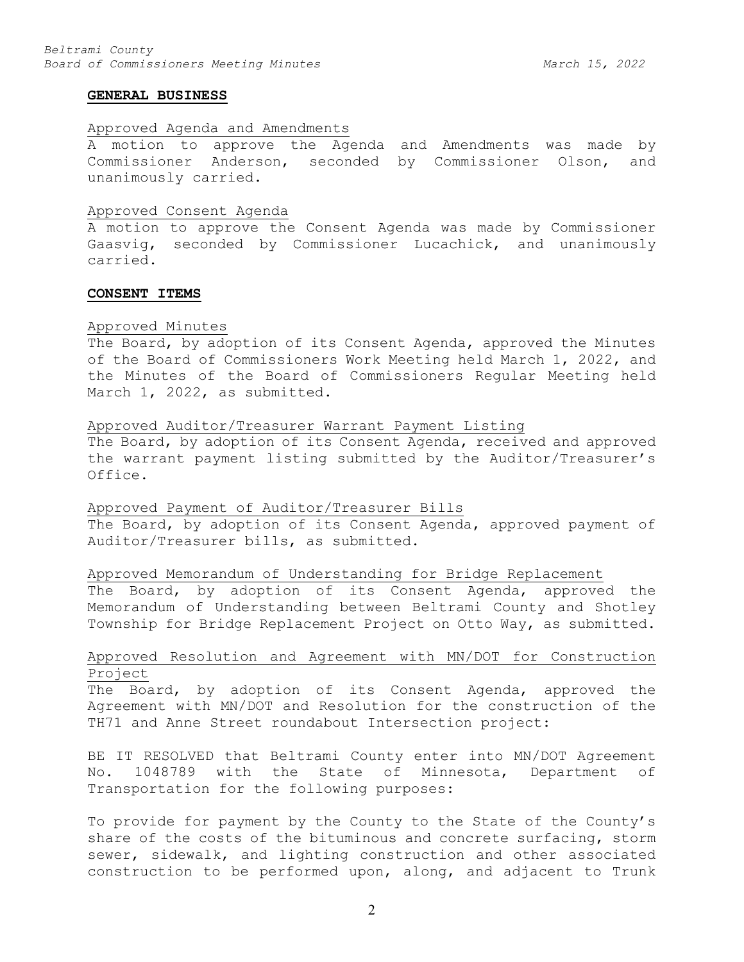#### **GENERAL BUSINESS**

## Approved Agenda and Amendments

A motion to approve the Agenda and Amendments was made by Commissioner Anderson, seconded by Commissioner Olson, and unanimously carried.

#### Approved Consent Agenda

A motion to approve the Consent Agenda was made by Commissioner Gaasvig, seconded by Commissioner Lucachick, and unanimously carried.

### **CONSENT ITEMS**

#### Approved Minutes

The Board, by adoption of its Consent Agenda, approved the Minutes of the Board of Commissioners Work Meeting held March 1, 2022, and the Minutes of the Board of Commissioners Regular Meeting held March 1, 2022, as submitted.

#### Approved Auditor/Treasurer Warrant Payment Listing

The Board, by adoption of its Consent Agenda, received and approved the warrant payment listing submitted by the Auditor/Treasurer's Office.

Approved Payment of Auditor/Treasurer Bills

The Board, by adoption of its Consent Agenda, approved payment of Auditor/Treasurer bills, as submitted.

# Approved Memorandum of Understanding for Bridge Replacement

The Board, by adoption of its Consent Agenda, approved the Memorandum of Understanding between Beltrami County and Shotley Township for Bridge Replacement Project on Otto Way, as submitted.

# Approved Resolution and Agreement with MN/DOT for Construction Project

The Board, by adoption of its Consent Agenda, approved the Agreement with MN/DOT and Resolution for the construction of the TH71 and Anne Street roundabout Intersection project:

BE IT RESOLVED that Beltrami County enter into MN/DOT Agreement No. 1048789 with the State of Minnesota, Department of Transportation for the following purposes:

To provide for payment by the County to the State of the County's share of the costs of the bituminous and concrete surfacing, storm sewer, sidewalk, and lighting construction and other associated construction to be performed upon, along, and adjacent to Trunk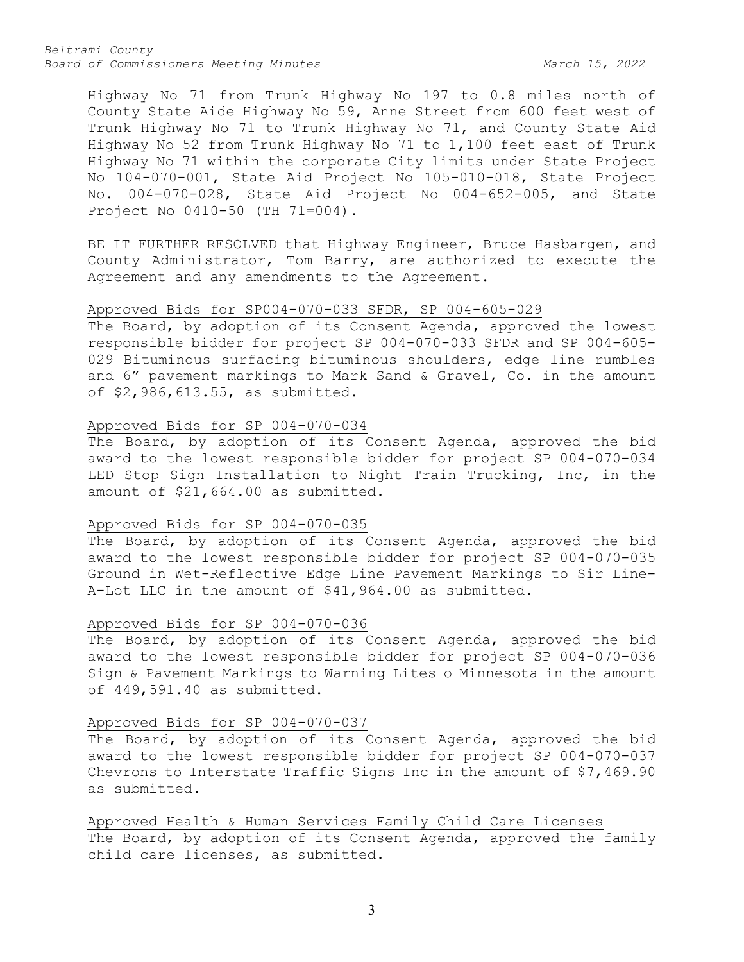*Beltrami County* Board of Commissioners Meeting Minutes March 15, 2022

Highway No 71 from Trunk Highway No 197 to 0.8 miles north of County State Aide Highway No 59, Anne Street from 600 feet west of Trunk Highway No 71 to Trunk Highway No 71, and County State Aid Highway No 52 from Trunk Highway No 71 to 1,100 feet east of Trunk Highway No 71 within the corporate City limits under State Project No 104-070-001, State Aid Project No 105-010-018, State Project No. 004-070-028, State Aid Project No 004-652-005, and State Project No 0410-50 (TH 71=004).

BE IT FURTHER RESOLVED that Highway Engineer, Bruce Hasbargen, and County Administrator, Tom Barry, are authorized to execute the Agreement and any amendments to the Agreement.

#### Approved Bids for SP004-070-033 SFDR, SP 004-605-029

The Board, by adoption of its Consent Agenda, approved the lowest responsible bidder for project SP 004-070-033 SFDR and SP 004-605- 029 Bituminous surfacing bituminous shoulders, edge line rumbles and 6" pavement markings to Mark Sand & Gravel, Co. in the amount of \$2,986,613.55, as submitted.

### Approved Bids for SP 004-070-034

The Board, by adoption of its Consent Agenda, approved the bid award to the lowest responsible bidder for project SP 004-070-034 LED Stop Sign Installation to Night Train Trucking, Inc, in the amount of \$21,664.00 as submitted.

## Approved Bids for SP 004-070-035

The Board, by adoption of its Consent Agenda, approved the bid award to the lowest responsible bidder for project SP 004-070-035 Ground in Wet-Reflective Edge Line Pavement Markings to Sir Line-A-Lot LLC in the amount of \$41,964.00 as submitted.

#### Approved Bids for SP 004-070-036

The Board, by adoption of its Consent Agenda, approved the bid award to the lowest responsible bidder for project SP 004-070-036 Sign & Pavement Markings to Warning Lites o Minnesota in the amount of 449,591.40 as submitted.

## Approved Bids for SP 004-070-037

The Board, by adoption of its Consent Agenda, approved the bid award to the lowest responsible bidder for project SP 004-070-037 Chevrons to Interstate Traffic Signs Inc in the amount of \$7,469.90 as submitted.

Approved Health & Human Services Family Child Care Licenses The Board, by adoption of its Consent Agenda, approved the family child care licenses, as submitted.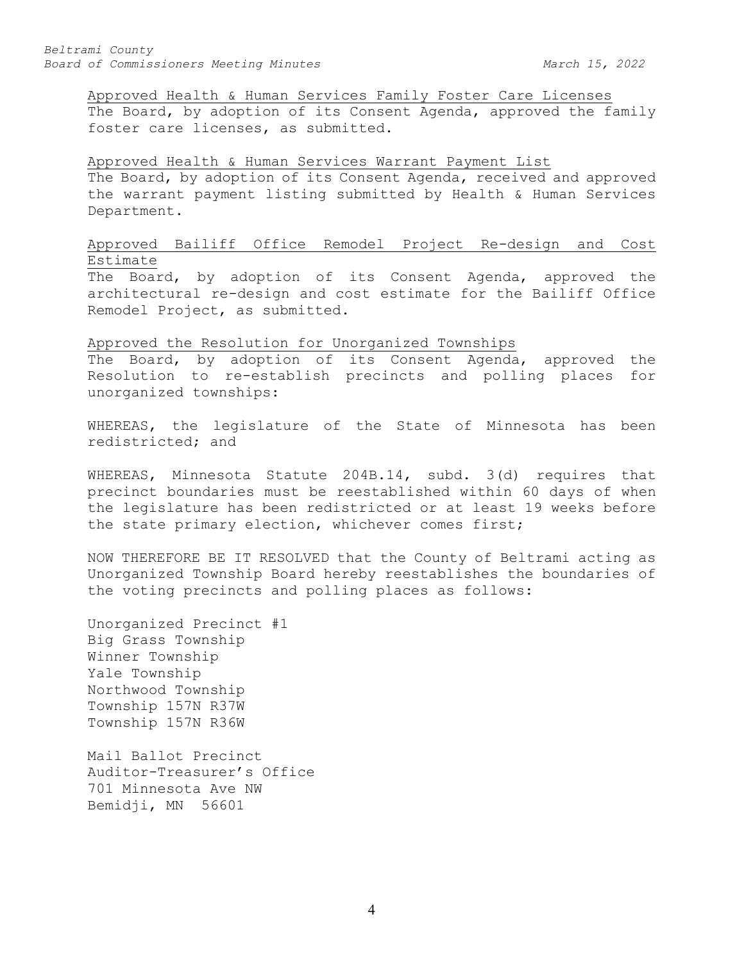Approved Health & Human Services Family Foster Care Licenses The Board, by adoption of its Consent Agenda, approved the family foster care licenses, as submitted.

#### Approved Health & Human Services Warrant Payment List

The Board, by adoption of its Consent Agenda, received and approved the warrant payment listing submitted by Health & Human Services Department.

# Approved Bailiff Office Remodel Project Re-design and Cost Estimate

The Board, by adoption of its Consent Agenda, approved the architectural re-design and cost estimate for the Bailiff Office Remodel Project, as submitted.

## Approved the Resolution for Unorganized Townships

The Board, by adoption of its Consent Agenda, approved the Resolution to re-establish precincts and polling places for unorganized townships:

WHEREAS, the legislature of the State of Minnesota has been redistricted; and

WHEREAS, Minnesota Statute 204B.14, subd. 3(d) requires that precinct boundaries must be reestablished within 60 days of when the legislature has been redistricted or at least 19 weeks before the state primary election, whichever comes first;

NOW THEREFORE BE IT RESOLVED that the County of Beltrami acting as Unorganized Township Board hereby reestablishes the boundaries of the voting precincts and polling places as follows:

Unorganized Precinct #1 Big Grass Township Winner Township Yale Township Northwood Township Township 157N R37W Township 157N R36W

Mail Ballot Precinct Auditor-Treasurer's Office 701 Minnesota Ave NW Bemidji, MN 56601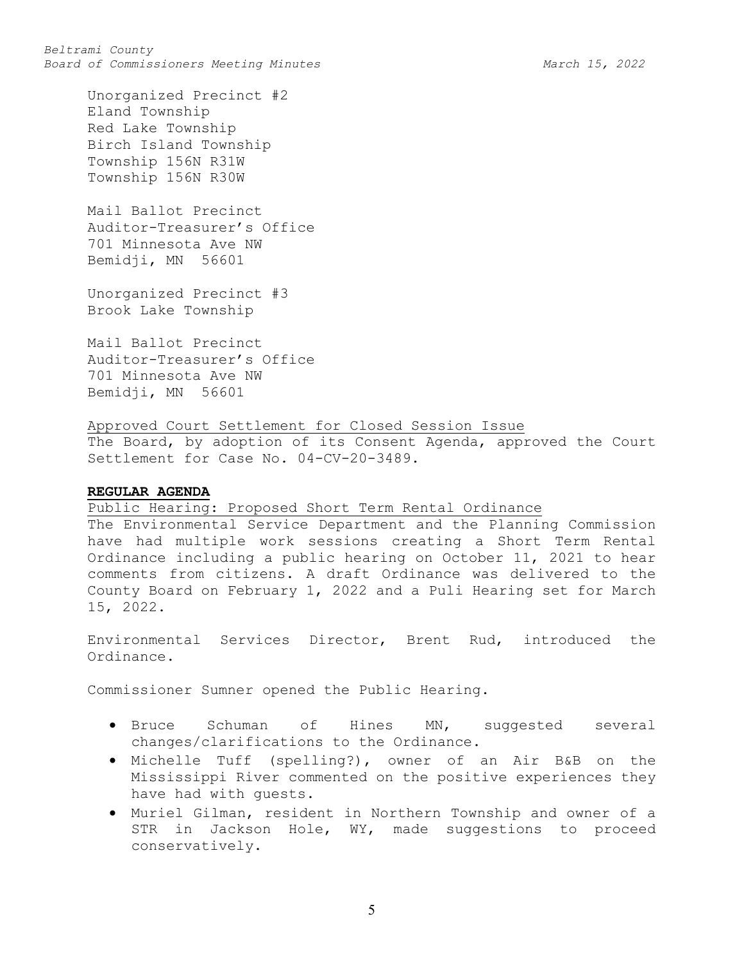Unorganized Precinct #2 Eland Township Red Lake Township Birch Island Township Township 156N R31W Township 156N R30W

Mail Ballot Precinct Auditor-Treasurer's Office 701 Minnesota Ave NW Bemidji, MN 56601

Unorganized Precinct #3 Brook Lake Township

Mail Ballot Precinct Auditor-Treasurer's Office 701 Minnesota Ave NW Bemidji, MN 56601

Approved Court Settlement for Closed Session Issue

The Board, by adoption of its Consent Agenda, approved the Court Settlement for Case No. 04-CV-20-3489.

### **REGULAR AGENDA**

Public Hearing: Proposed Short Term Rental Ordinance

The Environmental Service Department and the Planning Commission have had multiple work sessions creating a Short Term Rental Ordinance including a public hearing on October 11, 2021 to hear comments from citizens. A draft Ordinance was delivered to the County Board on February 1, 2022 and a Puli Hearing set for March 15, 2022.

Environmental Services Director, Brent Rud, introduced the Ordinance.

Commissioner Sumner opened the Public Hearing.

- Bruce Schuman of Hines MN, suggested several changes/clarifications to the Ordinance.
- Michelle Tuff (spelling?), owner of an Air B&B on the Mississippi River commented on the positive experiences they have had with guests.
- Muriel Gilman, resident in Northern Township and owner of a STR in Jackson Hole, WY, made suggestions to proceed conservatively.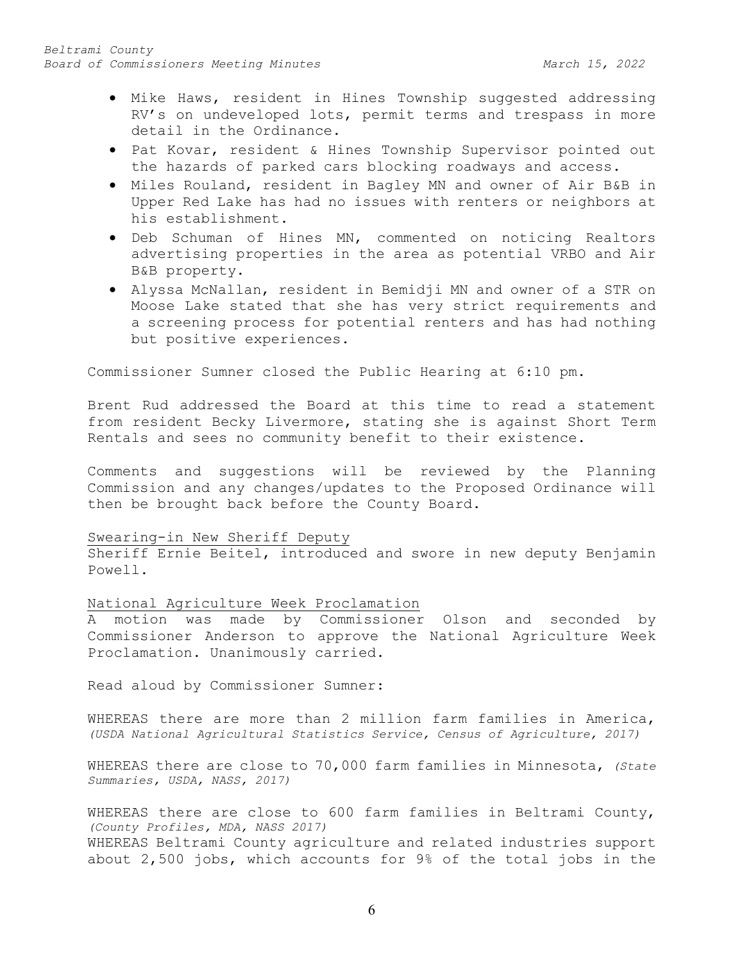- Mike Haws, resident in Hines Township suggested addressing RV's on undeveloped lots, permit terms and trespass in more detail in the Ordinance.
- Pat Kovar, resident & Hines Township Supervisor pointed out the hazards of parked cars blocking roadways and access.
- Miles Rouland, resident in Bagley MN and owner of Air B&B in Upper Red Lake has had no issues with renters or neighbors at his establishment.
- Deb Schuman of Hines MN, commented on noticing Realtors advertising properties in the area as potential VRBO and Air B&B property.
- Alyssa McNallan, resident in Bemidji MN and owner of a STR on Moose Lake stated that she has very strict requirements and a screening process for potential renters and has had nothing but positive experiences.

Commissioner Sumner closed the Public Hearing at 6:10 pm.

Brent Rud addressed the Board at this time to read a statement from resident Becky Livermore, stating she is against Short Term Rentals and sees no community benefit to their existence.

Comments and suggestions will be reviewed by the Planning Commission and any changes/updates to the Proposed Ordinance will then be brought back before the County Board.

### Swearing-in New Sheriff Deputy

Sheriff Ernie Beitel, introduced and swore in new deputy Benjamin Powell.

#### National Agriculture Week Proclamation

A motion was made by Commissioner Olson and seconded by Commissioner Anderson to approve the National Agriculture Week Proclamation. Unanimously carried.

Read aloud by Commissioner Sumner:

WHEREAS there are more than 2 million farm families in America, *(USDA National Agricultural Statistics Service, Census of Agriculture, 2017)*

WHEREAS there are close to 70,000 farm families in Minnesota, *(State Summaries, USDA, NASS, 2017)*

WHEREAS there are close to 600 farm families in Beltrami County, *(County Profiles, MDA, NASS 2017)* WHEREAS Beltrami County agriculture and related industries support about 2,500 jobs, which accounts for 9% of the total jobs in the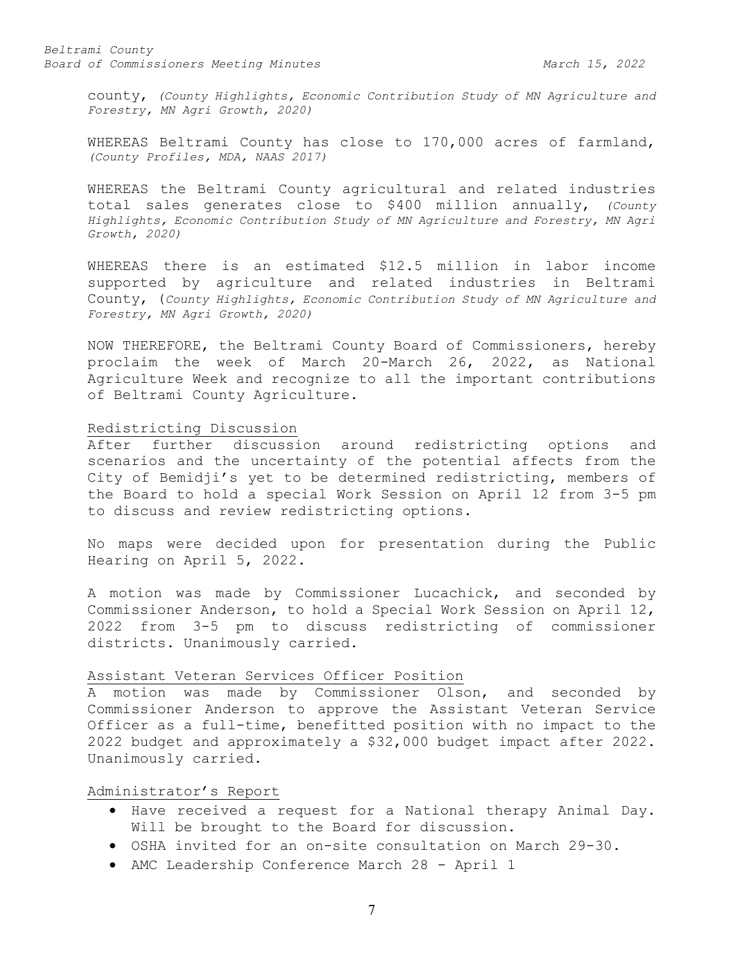*Beltrami County* Board of Commissioners Meeting Minutes March 15, 2022

county, *(County Highlights, Economic Contribution Study of MN Agriculture and Forestry, MN Agri Growth, 2020)*

WHEREAS Beltrami County has close to 170,000 acres of farmland, *(County Profiles, MDA, NAAS 2017)*

WHEREAS the Beltrami County agricultural and related industries total sales generates close to \$400 million annually, *(County Highlights, Economic Contribution Study of MN Agriculture and Forestry, MN Agri Growth, 2020)*

WHEREAS there is an estimated \$12.5 million in labor income supported by agriculture and related industries in Beltrami County, (*County Highlights, Economic Contribution Study of MN Agriculture and Forestry, MN Agri Growth, 2020)*

NOW THEREFORE, the Beltrami County Board of Commissioners, hereby proclaim the week of March 20-March 26, 2022, as National Agriculture Week and recognize to all the important contributions of Beltrami County Agriculture.

#### Redistricting Discussion

After further discussion around redistricting options and scenarios and the uncertainty of the potential affects from the City of Bemidji's yet to be determined redistricting, members of the Board to hold a special Work Session on April 12 from 3-5 pm to discuss and review redistricting options.

No maps were decided upon for presentation during the Public Hearing on April 5, 2022.

A motion was made by Commissioner Lucachick, and seconded by Commissioner Anderson, to hold a Special Work Session on April 12, 2022 from 3-5 pm to discuss redistricting of commissioner districts. Unanimously carried.

### Assistant Veteran Services Officer Position

A motion was made by Commissioner Olson, and seconded by Commissioner Anderson to approve the Assistant Veteran Service Officer as a full-time, benefitted position with no impact to the 2022 budget and approximately a \$32,000 budget impact after 2022. Unanimously carried.

#### Administrator's Report

- Have received a request for a National therapy Animal Day. Will be brought to the Board for discussion.
- OSHA invited for an on-site consultation on March 29-30.
- AMC Leadership Conference March 28 April 1